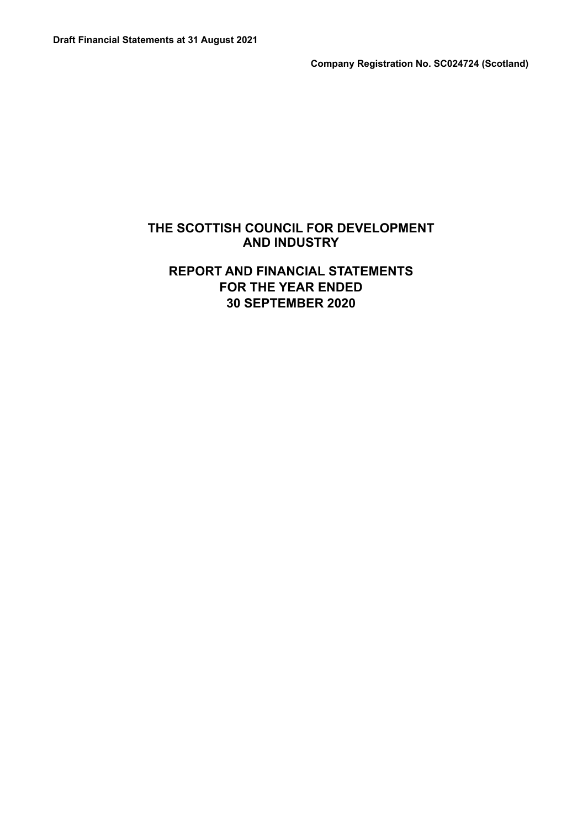**Company Registration No. SC024724 (Scotland)**

### **THE SCOTTISH COUNCIL FOR DEVELOPMENT AND INDUSTRY**

# **REPORT AND FINANCIAL STATEMENTS FOR THE YEAR ENDED 30 SEPTEMBER 2020**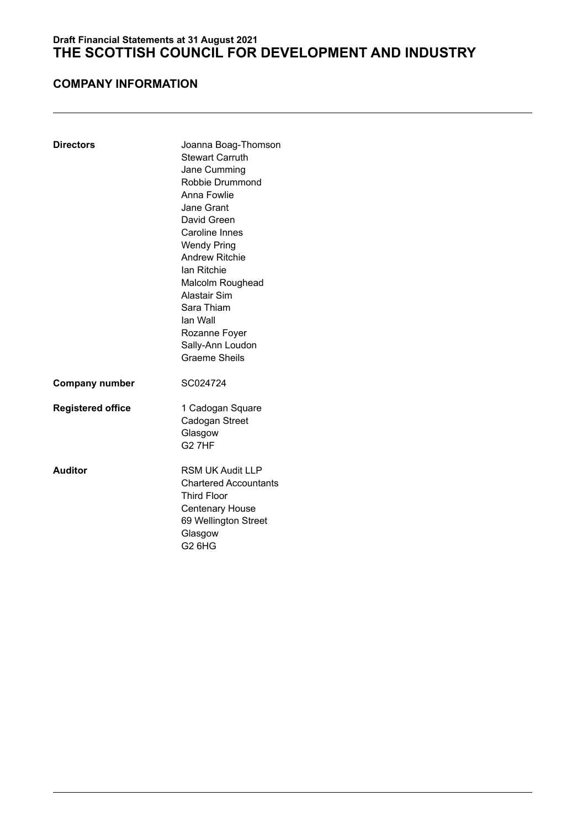# **COMPANY INFORMATION**

| <b>Directors</b>         | Joanna Boag-Thomson<br><b>Stewart Carruth</b><br>Jane Cumming<br>Robbie Drummond<br>Anna Fowlie<br>Jane Grant<br>David Green<br>Caroline Innes<br><b>Wendy Pring</b><br><b>Andrew Ritchie</b><br>Ian Ritchie<br>Malcolm Roughead<br>Alastair Sim<br>Sara Thiam<br>Ian Wall<br>Rozanne Foyer |
|--------------------------|---------------------------------------------------------------------------------------------------------------------------------------------------------------------------------------------------------------------------------------------------------------------------------------------|
|                          | Sally-Ann Loudon<br><b>Graeme Sheils</b>                                                                                                                                                                                                                                                    |
| <b>Company number</b>    | SC024724                                                                                                                                                                                                                                                                                    |
| <b>Registered office</b> | 1 Cadogan Square<br>Cadogan Street<br>Glasgow<br>G <sub>2</sub> 7HF                                                                                                                                                                                                                         |
| <b>Auditor</b>           | <b>RSM UK Audit LLP</b><br><b>Chartered Accountants</b><br><b>Third Floor</b><br><b>Centenary House</b><br>69 Wellington Street<br>Glasgow<br>G2 6HG                                                                                                                                        |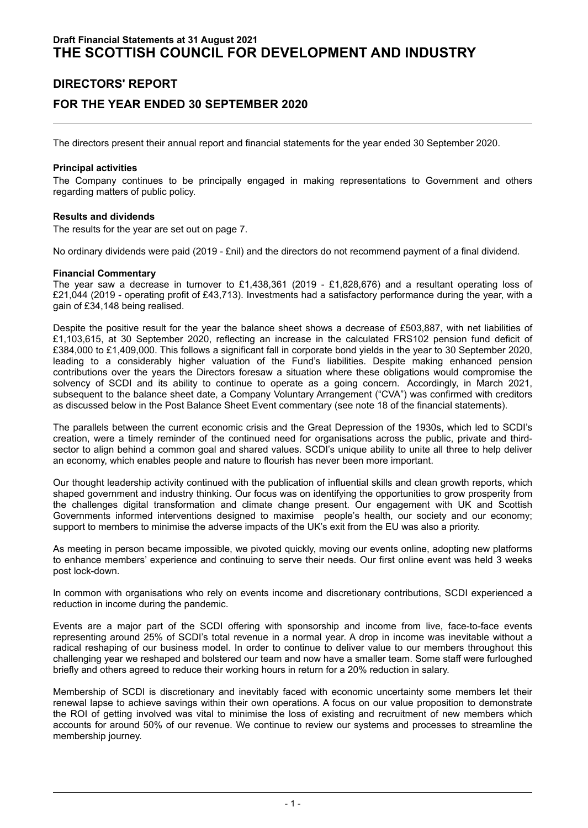### **DIRECTORS' REPORT**

### **FOR THE YEAR ENDED 30 SEPTEMBER 2020**

The directors present their annual report and financial statements for the year ended 30 September 2020.

#### **Principal activities**

The Company continues to be principally engaged in making representations to Government and others regarding matters of public policy.

#### **Results and dividends**

The results for the year are set out on page 7.

No ordinary dividends were paid (2019 - £nil) and the directors do not recommend payment of a final dividend.

#### **Financial Commentary**

The year saw a decrease in turnover to £1,438,361 (2019 - £1,828,676) and a resultant operating loss of £21,044 (2019 - operating profit of £43,713). Investments had a satisfactory performance during the year, with a gain of £34,148 being realised.

Despite the positive result for the year the balance sheet shows a decrease of £503,887, with net liabilities of £1,103,615, at 30 September 2020, reflecting an increase in the calculated FRS102 pension fund deficit of £384,000 to £1,409,000. This follows a significant fall in corporate bond yields in the year to 30 September 2020, leading to a considerably higher valuation of the Fund's liabilities. Despite making enhanced pension contributions over the years the Directors foresaw a situation where these obligations would compromise the solvency of SCDI and its ability to continue to operate as a going concern. Accordingly, in March 2021, subsequent to the balance sheet date, a Company Voluntary Arrangement ("CVA") was confirmed with creditors as discussed below in the Post Balance Sheet Event commentary (see note 18 of the financial statements).

The parallels between the current economic crisis and the Great Depression of the 1930s, which led to SCDI's creation, were a timely reminder of the continued need for organisations across the public, private and thirdsector to align behind a common goal and shared values. SCDI's unique ability to unite all three to help deliver an economy, which enables people and nature to flourish has never been more important.

Our thought leadership activity continued with the publication of influential skills and clean growth reports, which shaped government and industry thinking. Our focus was on identifying the opportunities to grow prosperity from the challenges digital transformation and climate change present. Our engagement with UK and Scottish Governments informed interventions designed to maximise people's health, our society and our economy; support to members to minimise the adverse impacts of the UK's exit from the EU was also a priority.

As meeting in person became impossible, we pivoted quickly, moving our events online, adopting new platforms to enhance members' experience and continuing to serve their needs. Our first online event was held 3 weeks post lock-down.

In common with organisations who rely on events income and discretionary contributions, SCDI experienced a reduction in income during the pandemic.

Events are a major part of the SCDI offering with sponsorship and income from live, face-to-face events representing around 25% of SCDI's total revenue in a normal year. A drop in income was inevitable without a radical reshaping of our business model. In order to continue to deliver value to our members throughout this challenging year we reshaped and bolstered our team and now have a smaller team. Some staff were furloughed briefly and others agreed to reduce their working hours in return for a 20% reduction in salary.

Membership of SCDI is discretionary and inevitably faced with economic uncertainty some members let their renewal lapse to achieve savings within their own operations. A focus on our value proposition to demonstrate the ROI of getting involved was vital to minimise the loss of existing and recruitment of new members which accounts for around 50% of our revenue. We continue to review our systems and processes to streamline the membership journey.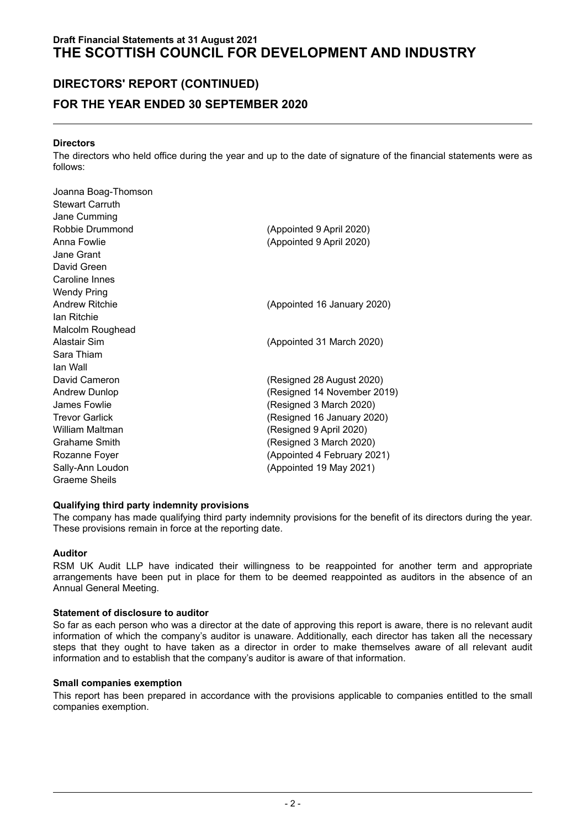# **DIRECTORS' REPORT (CONTINUED) FOR THE YEAR ENDED 30 SEPTEMBER 2020**

#### **Directors**

The directors who held office during the year and up to the date of signature of the financial statements were as follows:

| Joanna Boag-Thomson    |                             |
|------------------------|-----------------------------|
| <b>Stewart Carruth</b> |                             |
| Jane Cumming           |                             |
| Robbie Drummond        | (Appointed 9 April 2020)    |
| Anna Fowlie            | (Appointed 9 April 2020)    |
| Jane Grant             |                             |
| David Green            |                             |
| Caroline Innes         |                             |
| <b>Wendy Pring</b>     |                             |
| <b>Andrew Ritchie</b>  | (Appointed 16 January 2020) |
| lan Ritchie            |                             |
| Malcolm Roughead       |                             |
| Alastair Sim           | (Appointed 31 March 2020)   |
| Sara Thiam             |                             |
| lan Wall               |                             |
| David Cameron          | (Resigned 28 August 2020)   |
| <b>Andrew Dunlop</b>   | (Resigned 14 November 2019) |
| James Fowlie           | (Resigned 3 March 2020)     |
| <b>Trevor Garlick</b>  | (Resigned 16 January 2020)  |
| William Maltman        | (Resigned 9 April 2020)     |
| <b>Grahame Smith</b>   | (Resigned 3 March 2020)     |
| Rozanne Foyer          | (Appointed 4 February 2021) |
| Sally-Ann Loudon       | (Appointed 19 May 2021)     |
| <b>Graeme Sheils</b>   |                             |

#### **Qualifying third party indemnity provisions**

The company has made qualifying third party indemnity provisions for the benefit of its directors during the year. These provisions remain in force at the reporting date.

#### **Auditor**

RSM UK Audit LLP have indicated their willingness to be reappointed for another term and appropriate arrangements have been put in place for them to be deemed reappointed as auditors in the absence of an Annual General Meeting.

#### **Statement of disclosure to auditor**

So far as each person who was a director at the date of approving this report is aware, there is no relevant audit information of which the company's auditor is unaware. Additionally, each director has taken all the necessary steps that they ought to have taken as a director in order to make themselves aware of all relevant audit information and to establish that the company's auditor is aware of that information.

#### **Small companies exemption**

This report has been prepared in accordance with the provisions applicable to companies entitled to the small companies exemption.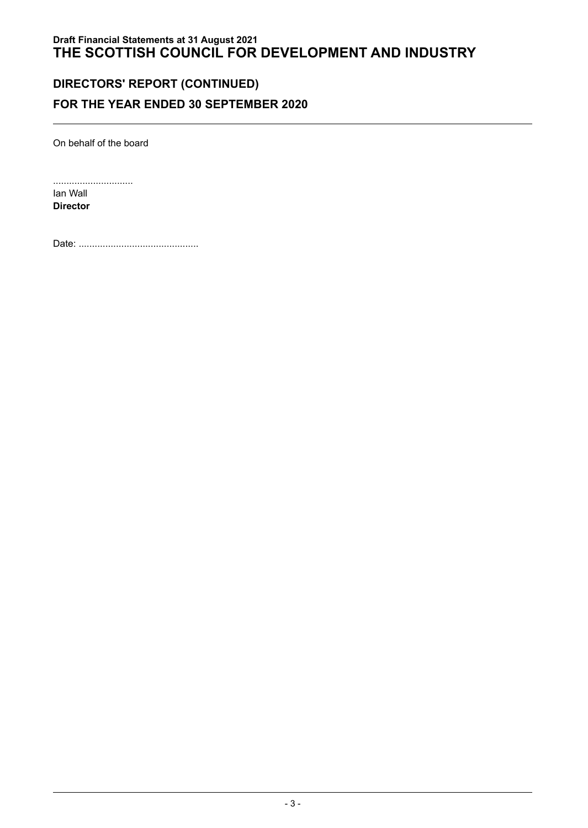# **DIRECTORS' REPORT (CONTINUED) FOR THE YEAR ENDED 30 SEPTEMBER 2020**

On behalf of the board

.............................. Ian Wall **Director**

Date: .............................................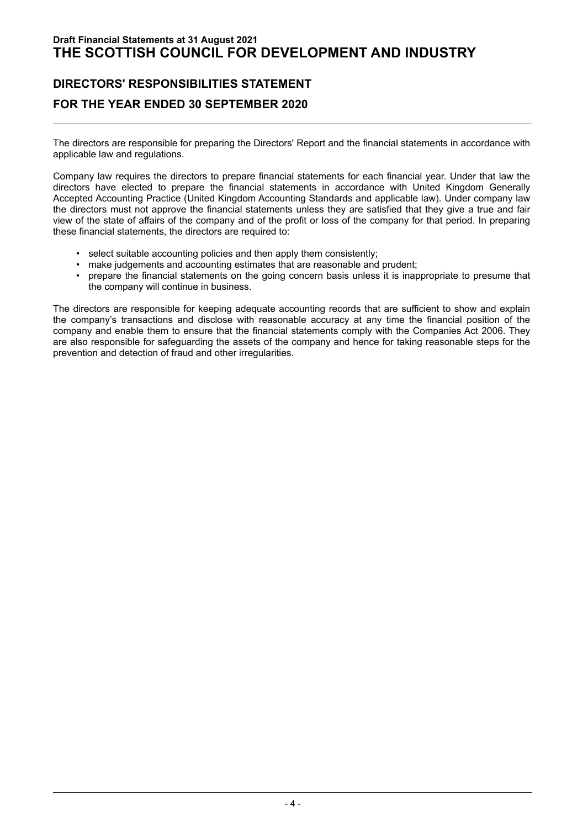# **DIRECTORS' RESPONSIBILITIES STATEMENT FOR THE YEAR ENDED 30 SEPTEMBER 2020**

The directors are responsible for preparing the Directors' Report and the financial statements in accordance with applicable law and regulations.

Company law requires the directors to prepare financial statements for each financial year. Under that law the directors have elected to prepare the financial statements in accordance with United Kingdom Generally Accepted Accounting Practice (United Kingdom Accounting Standards and applicable law). Under company law the directors must not approve the financial statements unless they are satisfied that they give a true and fair view of the state of affairs of the company and of the profit or loss of the company for that period. In preparing these financial statements, the directors are required to:

- select suitable accounting policies and then apply them consistently;
- make judgements and accounting estimates that are reasonable and prudent;
- prepare the financial statements on the going concern basis unless it is inappropriate to presume that the company will continue in business.

The directors are responsible for keeping adequate accounting records that are sufficient to show and explain the company's transactions and disclose with reasonable accuracy at any time the financial position of the company and enable them to ensure that the financial statements comply with the Companies Act 2006. They are also responsible for safeguarding the assets of the company and hence for taking reasonable steps for the prevention and detection of fraud and other irregularities.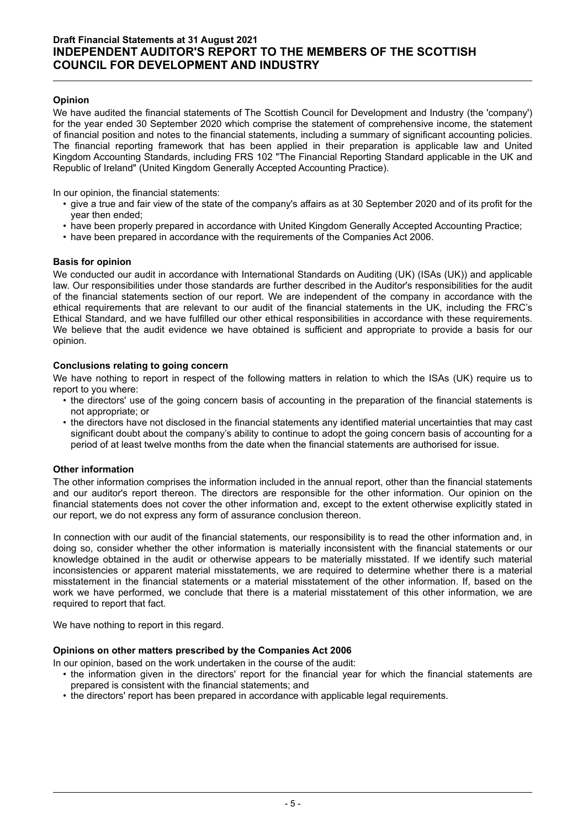### **Draft Financial Statements at 31 August 2021 INDEPENDENT AUDITOR'S REPORT TO THE MEMBERS OF THE SCOTTISH COUNCIL FOR DEVELOPMENT AND INDUSTRY**

#### **Opinion**

We have audited the financial statements of The Scottish Council for Development and Industry (the 'company') for the year ended 30 September 2020 which comprise the statement of comprehensive income, the statement of financial position and notes to the financial statements, including a summary of significant accounting policies. The financial reporting framework that has been applied in their preparation is applicable law and United Kingdom Accounting Standards, including FRS 102 "The Financial Reporting Standard applicable in the UK and Republic of Ireland" (United Kingdom Generally Accepted Accounting Practice).

In our opinion, the financial statements:

- give a true and fair view of the state of the company's affairs as at 30 September 2020 and of its profit for the year then ended;
- have been properly prepared in accordance with United Kingdom Generally Accepted Accounting Practice;
- have been prepared in accordance with the requirements of the Companies Act 2006.

#### **Basis for opinion**

We conducted our audit in accordance with International Standards on Auditing (UK) (ISAs (UK)) and applicable law. Our responsibilities under those standards are further described in the Auditor's responsibilities for the audit of the financial statements section of our report. We are independent of the company in accordance with the ethical requirements that are relevant to our audit of the financial statements in the UK, including the FRC's Ethical Standard, and we have fulfilled our other ethical responsibilities in accordance with these requirements. We believe that the audit evidence we have obtained is sufficient and appropriate to provide a basis for our opinion.

#### **Conclusions relating to going concern**

We have nothing to report in respect of the following matters in relation to which the ISAs (UK) require us to report to you where:

- the directors' use of the going concern basis of accounting in the preparation of the financial statements is not appropriate; or
- the directors have not disclosed in the financial statements any identified material uncertainties that may cast significant doubt about the company's ability to continue to adopt the going concern basis of accounting for a period of at least twelve months from the date when the financial statements are authorised for issue.

#### **Other information**

The other information comprises the information included in the annual report, other than the financial statements and our auditor's report thereon. The directors are responsible for the other information. Our opinion on the financial statements does not cover the other information and, except to the extent otherwise explicitly stated in our report, we do not express any form of assurance conclusion thereon.

In connection with our audit of the financial statements, our responsibility is to read the other information and, in doing so, consider whether the other information is materially inconsistent with the financial statements or our knowledge obtained in the audit or otherwise appears to be materially misstated. If we identify such material inconsistencies or apparent material misstatements, we are required to determine whether there is a material misstatement in the financial statements or a material misstatement of the other information. If, based on the work we have performed, we conclude that there is a material misstatement of this other information, we are required to report that fact.

We have nothing to report in this regard.

#### **Opinions on other matters prescribed by the Companies Act 2006**

In our opinion, based on the work undertaken in the course of the audit:

- the information given in the directors' report for the financial year for which the financial statements are prepared is consistent with the financial statements; and
- the directors' report has been prepared in accordance with applicable legal requirements.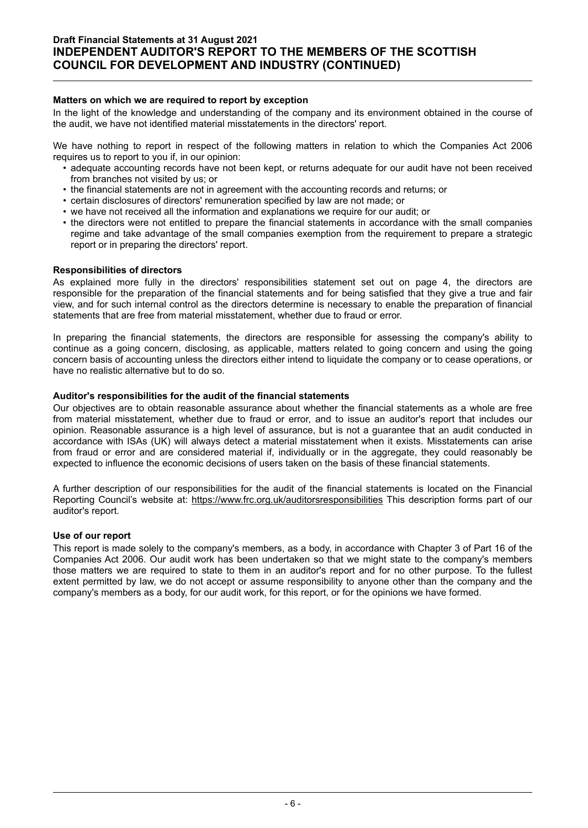### **Draft Financial Statements at 31 August 2021 INDEPENDENT AUDITOR'S REPORT TO THE MEMBERS OF THE SCOTTISH COUNCIL FOR DEVELOPMENT AND INDUSTRY (CONTINUED)**

#### **Matters on which we are required to report by exception**

In the light of the knowledge and understanding of the company and its environment obtained in the course of the audit, we have not identified material misstatements in the directors' report.

We have nothing to report in respect of the following matters in relation to which the Companies Act 2006 requires us to report to you if, in our opinion:

- adequate accounting records have not been kept, or returns adequate for our audit have not been received from branches not visited by us; or
- the financial statements are not in agreement with the accounting records and returns; or
- certain disclosures of directors' remuneration specified by law are not made; or
- we have not received all the information and explanations we require for our audit; or
- the directors were not entitled to prepare the financial statements in accordance with the small companies regime and take advantage of the small companies exemption from the requirement to prepare a strategic report or in preparing the directors' report.

#### **Responsibilities of directors**

As explained more fully in the directors' responsibilities statement set out on page 4, the directors are responsible for the preparation of the financial statements and for being satisfied that they give a true and fair view, and for such internal control as the directors determine is necessary to enable the preparation of financial statements that are free from material misstatement, whether due to fraud or error.

In preparing the financial statements, the directors are responsible for assessing the company's ability to continue as a going concern, disclosing, as applicable, matters related to going concern and using the going concern basis of accounting unless the directors either intend to liquidate the company or to cease operations, or have no realistic alternative but to do so.

#### **Auditor's responsibilities for the audit of the financial statements**

Our objectives are to obtain reasonable assurance about whether the financial statements as a whole are free from material misstatement, whether due to fraud or error, and to issue an auditor's report that includes our opinion. Reasonable assurance is a high level of assurance, but is not a guarantee that an audit conducted in accordance with ISAs (UK) will always detect a material misstatement when it exists. Misstatements can arise from fraud or error and are considered material if, individually or in the aggregate, they could reasonably be expected to influence the economic decisions of users taken on the basis of these financial statements.

A further description of our responsibilities for the audit of the financial statements is located on the Financial Reporting Council's website at: https://www.frc.org.uk/auditorsresponsibilities This description forms part of our auditor's report.

#### **Use of our report**

This report is made solely to the company's members, as a body, in accordance with Chapter 3 of Part 16 of the Companies Act 2006. Our audit work has been undertaken so that we might state to the company's members those matters we are required to state to them in an auditor's report and for no other purpose. To the fullest extent permitted by law, we do not accept or assume responsibility to anyone other than the company and the company's members as a body, for our audit work, for this report, or for the opinions we have formed.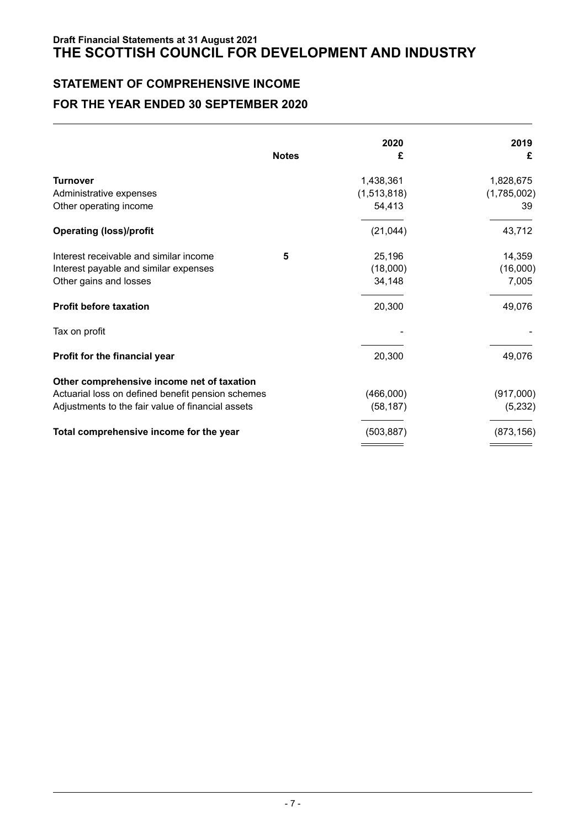# **STATEMENT OF COMPREHENSIVE INCOME**

# **FOR THE YEAR ENDED 30 SEPTEMBER 2020**

|                                                   | <b>Notes</b> | 2020<br>£   | 2019<br>£   |
|---------------------------------------------------|--------------|-------------|-------------|
| <b>Turnover</b>                                   |              | 1,438,361   | 1,828,675   |
| Administrative expenses                           |              | (1,513,818) | (1,785,002) |
| Other operating income                            |              | 54,413      | 39          |
| <b>Operating (loss)/profit</b>                    |              | (21, 044)   | 43,712      |
| Interest receivable and similar income            | 5            | 25,196      | 14,359      |
| Interest payable and similar expenses             |              | (18,000)    | (16,000)    |
| Other gains and losses                            |              | 34,148      | 7,005       |
| <b>Profit before taxation</b>                     |              | 20,300      | 49,076      |
| Tax on profit                                     |              |             |             |
| Profit for the financial year                     |              | 20,300      | 49,076      |
| Other comprehensive income net of taxation        |              |             |             |
| Actuarial loss on defined benefit pension schemes |              | (466,000)   | (917,000)   |
| Adjustments to the fair value of financial assets |              | (58, 187)   | (5,232)     |
| Total comprehensive income for the year           |              | (503, 887)  | (873, 156)  |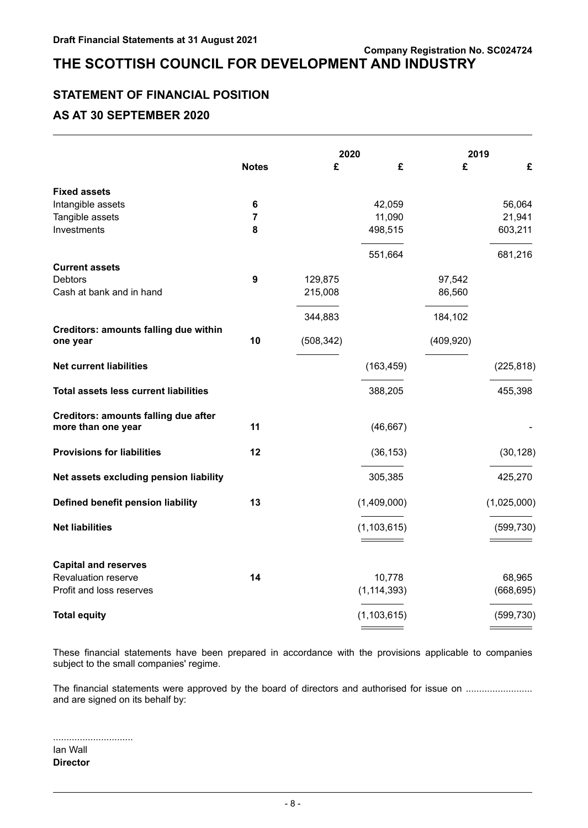# **THE SCOTTISH COUNCIL FOR DEVELOPMENT AND INDUSTRY**

# **STATEMENT OF FINANCIAL POSITION AS AT 30 SEPTEMBER 2020**

|                                                          |                |            | 2020          | 2019       |             |
|----------------------------------------------------------|----------------|------------|---------------|------------|-------------|
|                                                          | <b>Notes</b>   | £          | £             | £          | £           |
| <b>Fixed assets</b>                                      |                |            |               |            |             |
| Intangible assets                                        | $\bf 6$        |            | 42,059        |            | 56,064      |
| Tangible assets                                          | $\overline{7}$ |            | 11,090        |            | 21,941      |
| Investments                                              | 8              |            | 498,515       |            | 603,211     |
|                                                          |                |            | 551,664       |            | 681,216     |
| <b>Current assets</b>                                    |                |            |               |            |             |
| <b>Debtors</b>                                           | 9              | 129,875    |               | 97,542     |             |
| Cash at bank and in hand                                 |                | 215,008    |               | 86,560     |             |
|                                                          |                | 344,883    |               | 184,102    |             |
| <b>Creditors: amounts falling due within</b><br>one year | 10             | (508, 342) |               | (409, 920) |             |
|                                                          |                |            |               |            |             |
| <b>Net current liabilities</b>                           |                |            | (163, 459)    |            | (225, 818)  |
| <b>Total assets less current liabilities</b>             |                |            | 388,205       |            | 455,398     |
| <b>Creditors: amounts falling due after</b>              |                |            |               |            |             |
| more than one year                                       | 11             |            | (46, 667)     |            |             |
| <b>Provisions for liabilities</b>                        | 12             |            | (36, 153)     |            | (30, 128)   |
| Net assets excluding pension liability                   |                |            | 305,385       |            | 425,270     |
| Defined benefit pension liability                        | 13             |            | (1,409,000)   |            | (1,025,000) |
| <b>Net liabilities</b>                                   |                |            | (1, 103, 615) |            | (599, 730)  |
|                                                          |                |            |               |            |             |
| <b>Capital and reserves</b>                              |                |            |               |            |             |
| <b>Revaluation reserve</b>                               | 14             |            | 10,778        |            | 68,965      |
| Profit and loss reserves                                 |                |            | (1, 114, 393) |            | (668, 695)  |
| <b>Total equity</b>                                      |                |            | (1, 103, 615) |            | (599, 730)  |
|                                                          |                |            |               |            |             |

These financial statements have been prepared in accordance with the provisions applicable to companies subject to the small companies' regime.

The financial statements were approved by the board of directors and authorised for issue on ....................... and are signed on its behalf by:

.............................. Ian Wall **Director**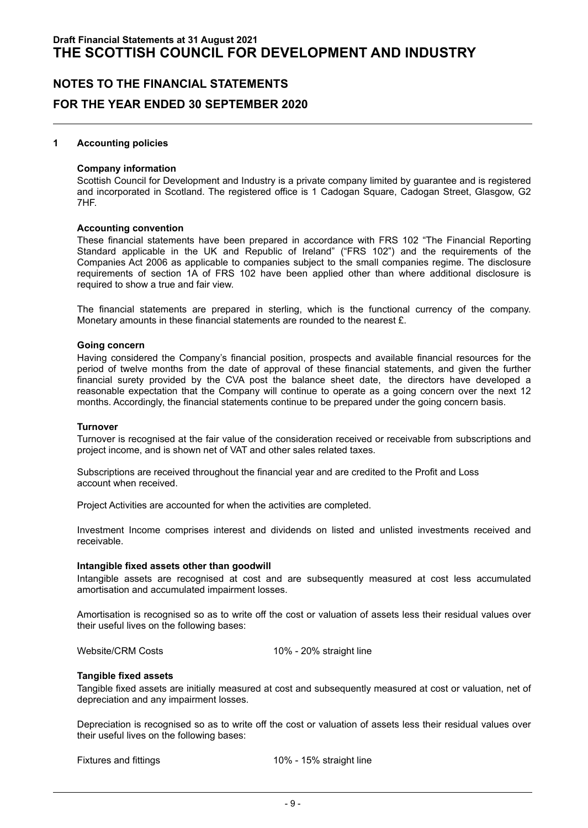#### **1 Accounting policies**

#### **Company information**

Scottish Council for Development and Industry is a private company limited by guarantee and is registered and incorporated in Scotland. The registered office is 1 Cadogan Square, Cadogan Street, Glasgow, G2 7HF.

#### **Accounting convention**

These financial statements have been prepared in accordance with FRS 102 "The Financial Reporting Standard applicable in the UK and Republic of Ireland" ("FRS 102") and the requirements of the Companies Act 2006 as applicable to companies subject to the small companies regime. The disclosure requirements of section 1A of FRS 102 have been applied other than where additional disclosure is required to show a true and fair view.

The financial statements are prepared in sterling, which is the functional currency of the company. Monetary amounts in these financial statements are rounded to the nearest £.

#### **Going concern**

Having considered the Company's financial position, prospects and available financial resources for the period of twelve months from the date of approval of these financial statements, and given the further financial surety provided by the CVA post the balance sheet date, the directors have developed a reasonable expectation that the Company will continue to operate as a going concern over the next 12 months. Accordingly, the financial statements continue to be prepared under the going concern basis.

#### **Turnover**

Turnover is recognised at the fair value of the consideration received or receivable from subscriptions and project income, and is shown net of VAT and other sales related taxes.

Subscriptions are received throughout the financial year and are credited to the Profit and Loss account when received.

Project Activities are accounted for when the activities are completed.

Investment Income comprises interest and dividends on listed and unlisted investments received and receivable.

#### **Intangible fixed assets other than goodwill**

Intangible assets are recognised at cost and are subsequently measured at cost less accumulated amortisation and accumulated impairment losses.

Amortisation is recognised so as to write off the cost or valuation of assets less their residual values over their useful lives on the following bases:

Website/CRM Costs 10% - 20% straight line

#### **Tangible fixed assets**

Tangible fixed assets are initially measured at cost and subsequently measured at cost or valuation, net of depreciation and any impairment losses.

Depreciation is recognised so as to write off the cost or valuation of assets less their residual values over their useful lives on the following bases:

Fixtures and fittings The 10% - 15% straight line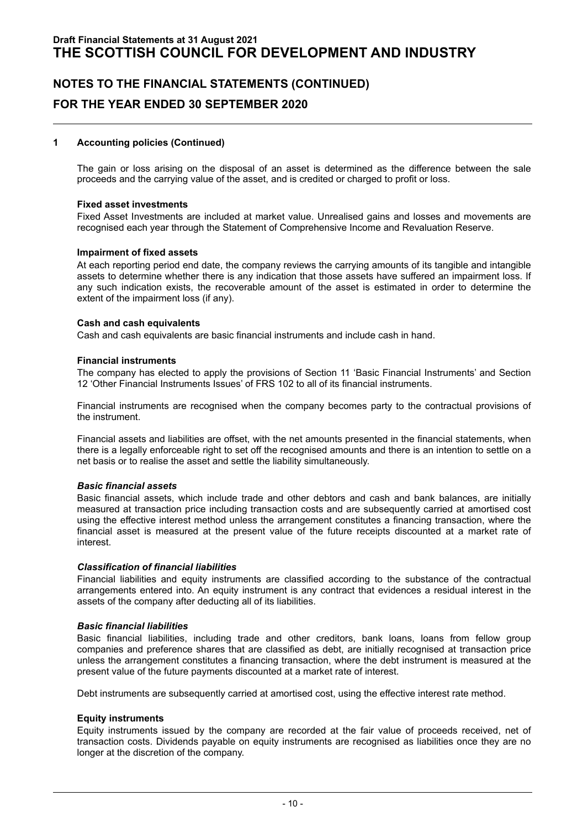#### **1 Accounting policies (Continued)**

The gain or loss arising on the disposal of an asset is determined as the difference between the sale proceeds and the carrying value of the asset, and is credited or charged to profit or loss.

#### **Fixed asset investments**

Fixed Asset Investments are included at market value. Unrealised gains and losses and movements are recognised each year through the Statement of Comprehensive Income and Revaluation Reserve.

#### **Impairment of fixed assets**

At each reporting period end date, the company reviews the carrying amounts of its tangible and intangible assets to determine whether there is any indication that those assets have suffered an impairment loss. If any such indication exists, the recoverable amount of the asset is estimated in order to determine the extent of the impairment loss (if any).

#### **Cash and cash equivalents**

Cash and cash equivalents are basic financial instruments and include cash in hand.

#### **Financial instruments**

The company has elected to apply the provisions of Section 11 'Basic Financial Instruments' and Section 12 'Other Financial Instruments Issues' of FRS 102 to all of its financial instruments.

Financial instruments are recognised when the company becomes party to the contractual provisions of the instrument.

Financial assets and liabilities are offset, with the net amounts presented in the financial statements, when there is a legally enforceable right to set off the recognised amounts and there is an intention to settle on a net basis or to realise the asset and settle the liability simultaneously.

#### *Basic financial assets*

Basic financial assets, which include trade and other debtors and cash and bank balances, are initially measured at transaction price including transaction costs and are subsequently carried at amortised cost using the effective interest method unless the arrangement constitutes a financing transaction, where the financial asset is measured at the present value of the future receipts discounted at a market rate of interest.

#### *Classification of financial liabilities*

Financial liabilities and equity instruments are classified according to the substance of the contractual arrangements entered into. An equity instrument is any contract that evidences a residual interest in the assets of the company after deducting all of its liabilities.

#### *Basic financial liabilities*

Basic financial liabilities, including trade and other creditors, bank loans, loans from fellow group companies and preference shares that are classified as debt, are initially recognised at transaction price unless the arrangement constitutes a financing transaction, where the debt instrument is measured at the present value of the future payments discounted at a market rate of interest.

Debt instruments are subsequently carried at amortised cost, using the effective interest rate method.

#### **Equity instruments**

Equity instruments issued by the company are recorded at the fair value of proceeds received, net of transaction costs. Dividends payable on equity instruments are recognised as liabilities once they are no longer at the discretion of the company.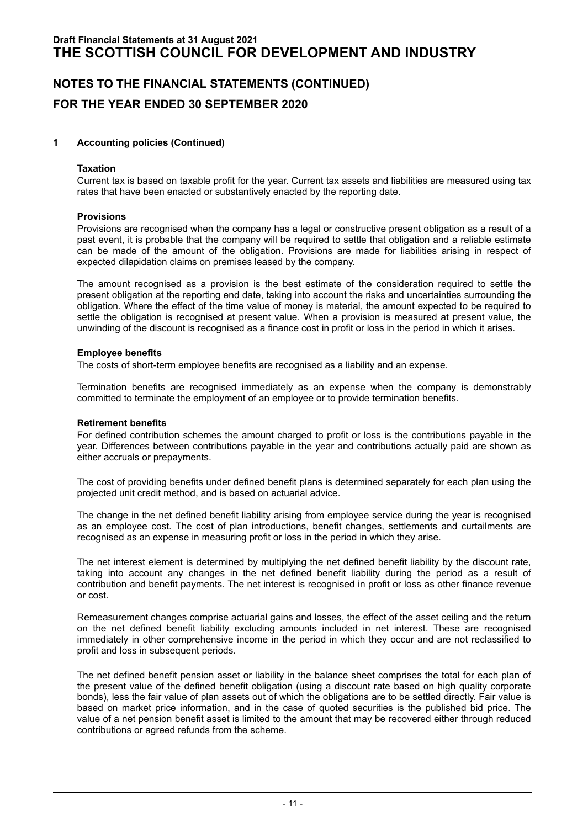#### **1 Accounting policies (Continued)**

#### **Taxation**

Current tax is based on taxable profit for the year. Current tax assets and liabilities are measured using tax rates that have been enacted or substantively enacted by the reporting date.

#### **Provisions**

Provisions are recognised when the company has a legal or constructive present obligation as a result of a past event, it is probable that the company will be required to settle that obligation and a reliable estimate can be made of the amount of the obligation. Provisions are made for liabilities arising in respect of expected dilapidation claims on premises leased by the company.

The amount recognised as a provision is the best estimate of the consideration required to settle the present obligation at the reporting end date, taking into account the risks and uncertainties surrounding the obligation. Where the effect of the time value of money is material, the amount expected to be required to settle the obligation is recognised at present value. When a provision is measured at present value, the unwinding of the discount is recognised as a finance cost in profit or loss in the period in which it arises.

#### **Employee benefits**

The costs of short-term employee benefits are recognised as a liability and an expense.

Termination benefits are recognised immediately as an expense when the company is demonstrably committed to terminate the employment of an employee or to provide termination benefits.

#### **Retirement benefits**

For defined contribution schemes the amount charged to profit or loss is the contributions payable in the year. Differences between contributions payable in the year and contributions actually paid are shown as either accruals or prepayments.

The cost of providing benefits under defined benefit plans is determined separately for each plan using the projected unit credit method, and is based on actuarial advice.

The change in the net defined benefit liability arising from employee service during the year is recognised as an employee cost. The cost of plan introductions, benefit changes, settlements and curtailments are recognised as an expense in measuring profit or loss in the period in which they arise.

The net interest element is determined by multiplying the net defined benefit liability by the discount rate, taking into account any changes in the net defined benefit liability during the period as a result of contribution and benefit payments. The net interest is recognised in profit or loss as other finance revenue or cost.

Remeasurement changes comprise actuarial gains and losses, the effect of the asset ceiling and the return on the net defined benefit liability excluding amounts included in net interest. These are recognised immediately in other comprehensive income in the period in which they occur and are not reclassified to profit and loss in subsequent periods.

The net defined benefit pension asset or liability in the balance sheet comprises the total for each plan of the present value of the defined benefit obligation (using a discount rate based on high quality corporate bonds), less the fair value of plan assets out of which the obligations are to be settled directly. Fair value is based on market price information, and in the case of quoted securities is the published bid price. The value of a net pension benefit asset is limited to the amount that may be recovered either through reduced contributions or agreed refunds from the scheme.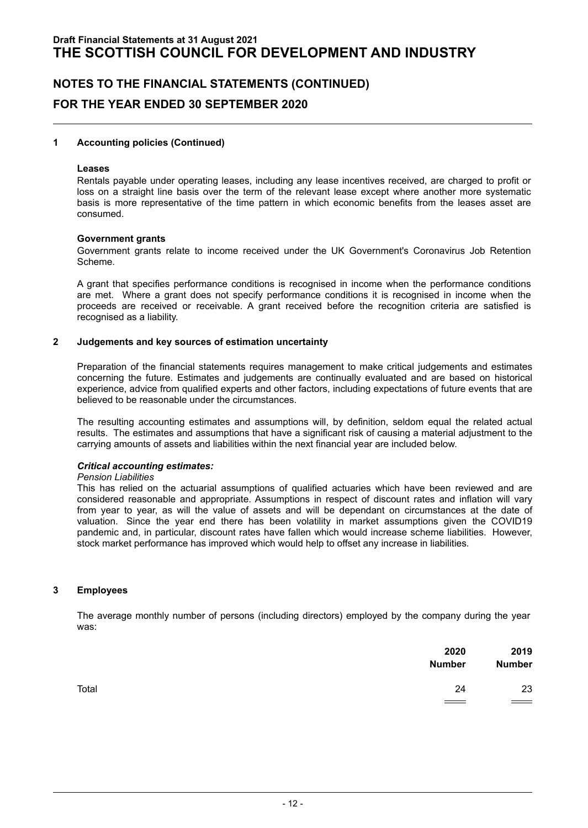#### **1 Accounting policies (Continued)**

#### **Leases**

Rentals payable under operating leases, including any lease incentives received, are charged to profit or loss on a straight line basis over the term of the relevant lease except where another more systematic basis is more representative of the time pattern in which economic benefits from the leases asset are consumed.

#### **Government grants**

Government grants relate to income received under the UK Government's Coronavirus Job Retention Scheme.

A grant that specifies performance conditions is recognised in income when the performance conditions are met. Where a grant does not specify performance conditions it is recognised in income when the proceeds are received or receivable. A grant received before the recognition criteria are satisfied is recognised as a liability.

#### **2 Judgements and key sources of estimation uncertainty**

Preparation of the financial statements requires management to make critical judgements and estimates concerning the future. Estimates and judgements are continually evaluated and are based on historical experience, advice from qualified experts and other factors, including expectations of future events that are believed to be reasonable under the circumstances.

The resulting accounting estimates and assumptions will, by definition, seldom equal the related actual results. The estimates and assumptions that have a significant risk of causing a material adjustment to the carrying amounts of assets and liabilities within the next financial year are included below.

#### *Critical accounting estimates:*

#### *Pension Liabilities*

This has relied on the actuarial assumptions of qualified actuaries which have been reviewed and are considered reasonable and appropriate. Assumptions in respect of discount rates and inflation will vary from year to year, as will the value of assets and will be dependant on circumstances at the date of valuation. Since the year end there has been volatility in market assumptions given the COVID19 pandemic and, in particular, discount rates have fallen which would increase scheme liabilities. However, stock market performance has improved which would help to offset any increase in liabilities.

#### **3 Employees**

The average monthly number of persons (including directors) employed by the company during the year was:

|       | 2020<br><b>Number</b> | 2019<br><b>Number</b> |
|-------|-----------------------|-----------------------|
| Total | 24<br>$=$             | 23                    |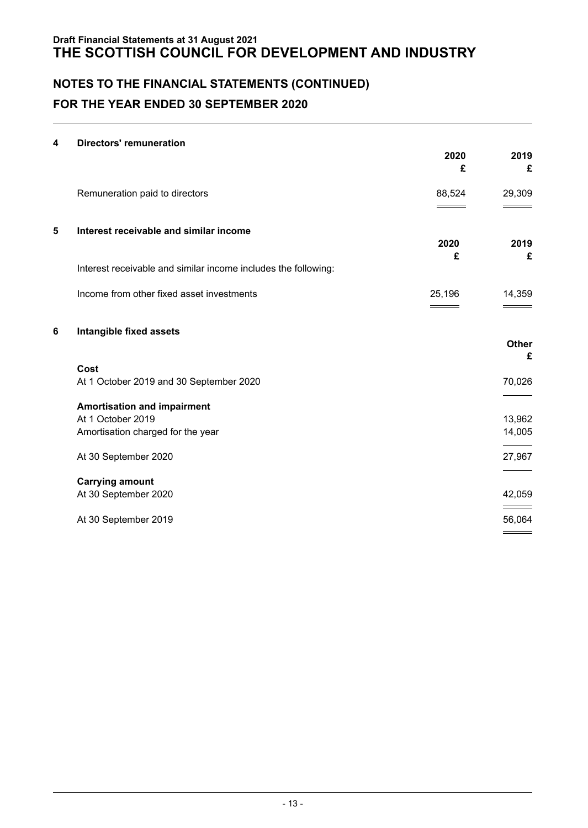# **NOTES TO THE FINANCIAL STATEMENTS (CONTINUED) FOR THE YEAR ENDED 30 SEPTEMBER 2020**

#### **4 Directors' remuneration**

|   |                                                                | 2020<br>£ | 2019<br>£    |
|---|----------------------------------------------------------------|-----------|--------------|
|   | Remuneration paid to directors                                 | 88,524    | 29,309       |
| 5 | Interest receivable and similar income                         |           |              |
|   |                                                                | 2020      | 2019         |
|   | Interest receivable and similar income includes the following: | £         | £            |
|   | Income from other fixed asset investments                      | 25,196    | 14,359       |
| 6 | Intangible fixed assets                                        |           | <b>Other</b> |
|   | Cost                                                           |           | £            |
|   | At 1 October 2019 and 30 September 2020                        |           | 70,026       |
|   | <b>Amortisation and impairment</b>                             |           |              |
|   | At 1 October 2019                                              |           | 13,962       |
|   | Amortisation charged for the year                              |           | 14,005       |
|   | At 30 September 2020                                           |           | 27,967       |
|   | <b>Carrying amount</b>                                         |           |              |
|   | At 30 September 2020                                           |           | 42,059       |
|   | At 30 September 2019                                           |           | 56,064       |
|   |                                                                |           |              |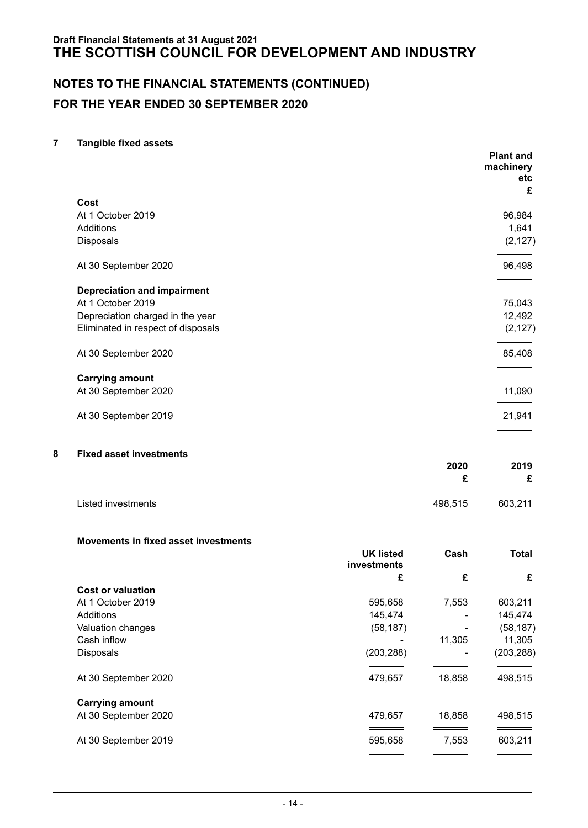# **NOTES TO THE FINANCIAL STATEMENTS (CONTINUED)**

# **FOR THE YEAR ENDED 30 SEPTEMBER 2020**

#### **7 Tangible fixed assets**

|   |                                    |      | <b>Plant and</b><br>machinery<br>etc |
|---|------------------------------------|------|--------------------------------------|
|   | Cost                               |      | £                                    |
|   | At 1 October 2019                  |      | 96,984                               |
|   | <b>Additions</b>                   |      | 1,641                                |
|   | Disposals                          |      | (2, 127)                             |
|   | At 30 September 2020               |      | 96,498                               |
|   | <b>Depreciation and impairment</b> |      |                                      |
|   | At 1 October 2019                  |      | 75,043                               |
|   | Depreciation charged in the year   |      | 12,492                               |
|   | Eliminated in respect of disposals |      | (2, 127)                             |
|   | At 30 September 2020               |      | 85,408                               |
|   | <b>Carrying amount</b>             |      |                                      |
|   | At 30 September 2020               |      | 11,090                               |
|   | At 30 September 2019               |      | 21,941                               |
| 8 | <b>Fixed asset investments</b>     |      |                                      |
|   |                                    | 2020 | 2019                                 |
|   |                                    | £    | £                                    |

| Listed investments | 498,515 | 603,211 |
|--------------------|---------|---------|
|                    |         |         |

#### **Movements in fixed asset investments**

|                          | <b>UK listed</b><br>investments | Cash   | <b>Total</b> |
|--------------------------|---------------------------------|--------|--------------|
|                          | £                               | £      | £            |
| <b>Cost or valuation</b> |                                 |        |              |
| At 1 October 2019        | 595,658                         | 7,553  | 603,211      |
| Additions                | 145,474                         |        | 145,474      |
| Valuation changes        | (58, 187)                       |        | (58, 187)    |
| Cash inflow              |                                 | 11,305 | 11,305       |
| <b>Disposals</b>         | (203, 288)                      |        | (203, 288)   |
| At 30 September 2020     | 479,657                         | 18,858 | 498,515      |
| <b>Carrying amount</b>   |                                 |        |              |
| At 30 September 2020     | 479,657                         | 18,858 | 498,515      |
|                          |                                 |        |              |
| At 30 September 2019     | 595,658                         | 7,553  | 603,211      |
|                          |                                 |        |              |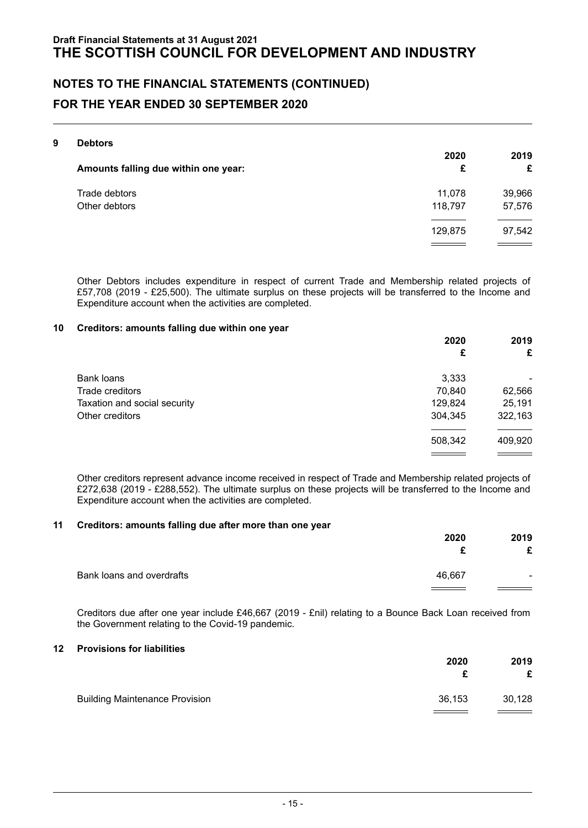#### **9 Debtors**

| Amounts falling due within one year: | 2020<br>£         | 2019<br>£        |
|--------------------------------------|-------------------|------------------|
| Trade debtors<br>Other debtors       | 11.078<br>118,797 | 39,966<br>57,576 |
|                                      | 129,875           | 97,542           |

Other Debtors includes expenditure in respect of current Trade and Membership related projects of £57,708 (2019 - £25,500). The ultimate surplus on these projects will be transferred to the Income and Expenditure account when the activities are completed.

#### **10 Creditors: amounts falling due within one year**

|                              | 2020    | 2019    |
|------------------------------|---------|---------|
|                              | £       | £       |
| <b>Bank loans</b>            | 3,333   |         |
| Trade creditors              | 70,840  | 62,566  |
| Taxation and social security | 129,824 | 25,191  |
| Other creditors              | 304,345 | 322,163 |
|                              | 508,342 | 409,920 |
|                              |         |         |

Other creditors represent advance income received in respect of Trade and Membership related projects of £272,638 (2019 - £288,552). The ultimate surplus on these projects will be transferred to the Income and Expenditure account when the activities are completed.

#### **11 Creditors: amounts falling due after more than one year**

|                           | 2020   | 2019   |
|---------------------------|--------|--------|
|                           |        | £      |
| Bank loans and overdrafts | 46,667 | $\sim$ |
|                           |        |        |

Creditors due after one year include £46,667 (2019 - £nil) relating to a Bounce Back Loan received from the Government relating to the Covid-19 pandemic.

#### **12 Provisions for liabilities**

|                                       | 2020   | 2019<br>£ |
|---------------------------------------|--------|-----------|
| <b>Building Maintenance Provision</b> | 36,153 | 30,128    |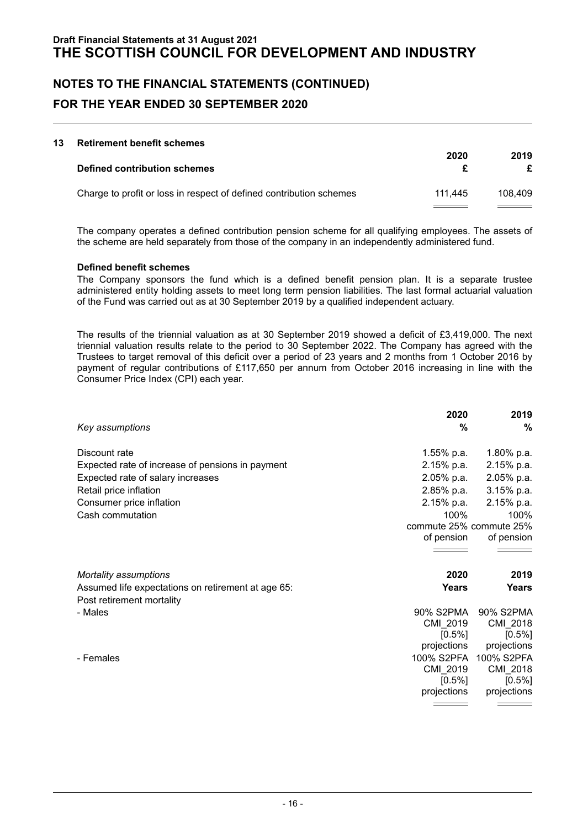| 13 | <b>Retirement benefit schemes</b>                                   |         |           |
|----|---------------------------------------------------------------------|---------|-----------|
|    | Defined contribution schemes                                        | 2020    | 2019<br>£ |
|    | Charge to profit or loss in respect of defined contribution schemes | 111.445 | 108.409   |

The company operates a defined contribution pension scheme for all qualifying employees. The assets of the scheme are held separately from those of the company in an independently administered fund.

#### **Defined benefit schemes**

The Company sponsors the fund which is a defined benefit pension plan. It is a separate trustee administered entity holding assets to meet long term pension liabilities. The last formal actuarial valuation of the Fund was carried out as at 30 September 2019 by a qualified independent actuary.

The results of the triennial valuation as at 30 September 2019 showed a deficit of £3,419,000. The next triennial valuation results relate to the period to 30 September 2022. The Company has agreed with the Trustees to target removal of this deficit over a period of 23 years and 2 months from 1 October 2016 by payment of regular contributions of £117,650 per annum from October 2016 increasing in line with the Consumer Price Index (CPI) each year.

| Key assumptions                                                                 | 2020<br>%   | 2019<br>$\%$            |
|---------------------------------------------------------------------------------|-------------|-------------------------|
|                                                                                 |             |                         |
| Discount rate                                                                   | 1.55% p.a.  | 1.80% p.a.              |
| Expected rate of increase of pensions in payment                                | 2.15% p.a.  | 2.15% p.a.              |
| Expected rate of salary increases                                               | 2.05% p.a.  | 2.05% p.a.              |
| Retail price inflation                                                          | 2.85% p.a.  | $3.15%$ p.a.            |
| Consumer price inflation                                                        | 2.15% p.a.  | 2.15% p.a.              |
| Cash commutation                                                                | 100%        | 100%                    |
|                                                                                 |             | commute 25% commute 25% |
|                                                                                 | of pension  | of pension              |
|                                                                                 |             |                         |
| <b>Mortality assumptions</b>                                                    | 2020        | 2019                    |
| Assumed life expectations on retirement at age 65:<br>Post retirement mortality | Years       | Years                   |
| - Males                                                                         | 90% S2PMA   | 90% S2PMA               |
|                                                                                 | CMI 2019    | CMI 2018                |
|                                                                                 | $[0.5\%]$   | [0.5%]                  |
|                                                                                 | projections | projections             |
| - Females                                                                       | 100% S2PFA  | 100% S2PFA              |
|                                                                                 | CMI 2019    | CMI 2018                |
|                                                                                 | $[0.5\%]$   | [0.5%]                  |
|                                                                                 | projections | projections             |
|                                                                                 |             |                         |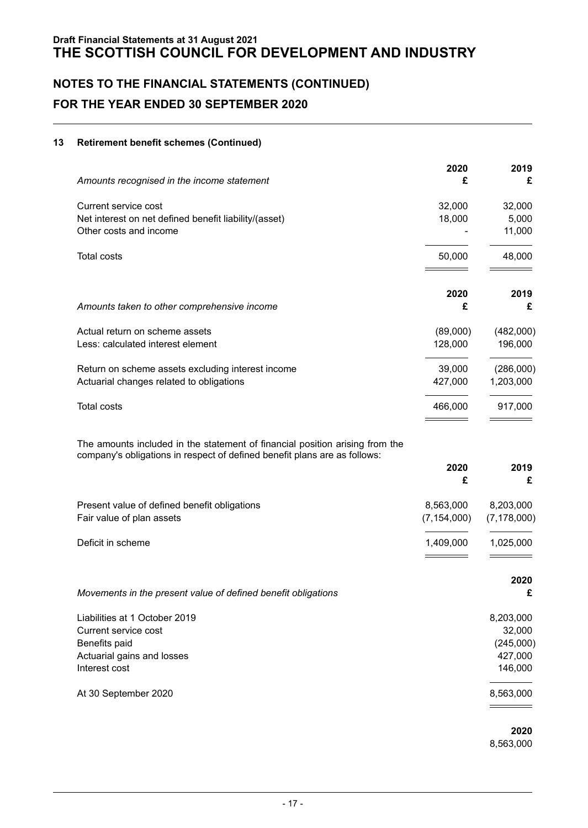# **NOTES TO THE FINANCIAL STATEMENTS (CONTINUED) FOR THE YEAR ENDED 30 SEPTEMBER 2020**

#### **13 Retirement benefit schemes (Continued)**

| Amounts recognised in the income statement                                   | 2020<br>£     | 2019<br>£     |
|------------------------------------------------------------------------------|---------------|---------------|
|                                                                              |               |               |
| Current service cost                                                         | 32,000        | 32,000        |
| Net interest on net defined benefit liability/(asset)                        | 18,000        | 5,000         |
| Other costs and income                                                       |               | 11,000        |
| Total costs                                                                  | 50,000        | 48,000        |
|                                                                              |               |               |
|                                                                              | 2020          | 2019          |
| Amounts taken to other comprehensive income                                  | £             | £             |
|                                                                              |               |               |
| Actual return on scheme assets                                               | (89,000)      | (482,000)     |
| Less: calculated interest element                                            | 128,000       | 196,000       |
| Return on scheme assets excluding interest income                            | 39,000        | (286,000)     |
| Actuarial changes related to obligations                                     | 427,000       | 1,203,000     |
|                                                                              |               |               |
| Total costs                                                                  | 466,000       | 917,000       |
|                                                                              |               |               |
| The amounts included in the statement of financial position arising from the |               |               |
| company's obligations in respect of defined benefit plans are as follows:    |               |               |
|                                                                              | 2020          | 2019          |
|                                                                              | £             | £             |
|                                                                              |               |               |
| Present value of defined benefit obligations                                 | 8,563,000     | 8,203,000     |
| Fair value of plan assets                                                    | (7, 154, 000) | (7, 178, 000) |
| Deficit in scheme                                                            | 1,409,000     | 1,025,000     |
|                                                                              |               |               |
|                                                                              |               |               |
| Movements in the present value of defined benefit obligations                |               | 2020<br>£     |
|                                                                              |               |               |
| Liabilities at 1 October 2019                                                |               | 8,203,000     |
| Current service cost                                                         |               | 32,000        |
| Benefits paid                                                                |               | (245,000)     |
| Actuarial gains and losses                                                   |               | 427,000       |
| Interest cost                                                                |               | 146,000       |
| At 30 September 2020                                                         |               | 8,563,000     |
|                                                                              |               |               |
|                                                                              |               |               |
|                                                                              |               | 2020          |
|                                                                              |               | 8,563,000     |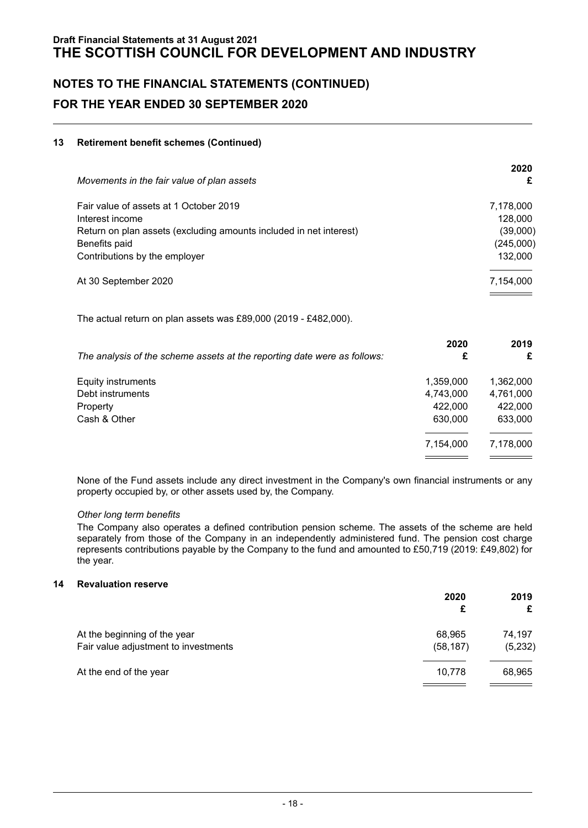# **NOTES TO THE FINANCIAL STATEMENTS (CONTINUED) FOR THE YEAR ENDED 30 SEPTEMBER 2020**

#### **13 Retirement benefit schemes (Continued)**

| Movements in the fair value of plan assets                                                                                                                                        |                                              | 2020<br>£                                                |
|-----------------------------------------------------------------------------------------------------------------------------------------------------------------------------------|----------------------------------------------|----------------------------------------------------------|
| Fair value of assets at 1 October 2019<br>Interest income<br>Return on plan assets (excluding amounts included in net interest)<br>Benefits paid<br>Contributions by the employer |                                              | 7,178,000<br>128,000<br>(39,000)<br>(245,000)<br>132,000 |
| At 30 September 2020                                                                                                                                                              |                                              | 7,154,000                                                |
| The actual return on plan assets was £89,000 (2019 - £482,000).                                                                                                                   |                                              |                                                          |
| The analysis of the scheme assets at the reporting date were as follows:                                                                                                          | 2020<br>£                                    | 2019<br>£                                                |
| <b>Equity instruments</b><br>Debt instruments<br>Property<br>Cash & Other                                                                                                         | 1,359,000<br>4,743,000<br>422,000<br>630,000 | 1,362,000<br>4,761,000<br>422,000<br>633,000             |
|                                                                                                                                                                                   | 7,154,000                                    | 7,178,000                                                |

None of the Fund assets include any direct investment in the Company's own financial instruments or any property occupied by, or other assets used by, the Company.

#### *Other long term benefits*

The Company also operates a defined contribution pension scheme. The assets of the scheme are held separately from those of the Company in an independently administered fund. The pension cost charge represents contributions payable by the Company to the fund and amounted to £50,719 (2019: £49,802) for the year.

#### **14 Revaluation reserve**

|                                      | 2020      | 2019    |
|--------------------------------------|-----------|---------|
|                                      | £         | £       |
| At the beginning of the year         | 68,965    | 74,197  |
| Fair value adjustment to investments | (58, 187) | (5,232) |
| At the end of the year               | 10.778    | 68,965  |
|                                      |           |         |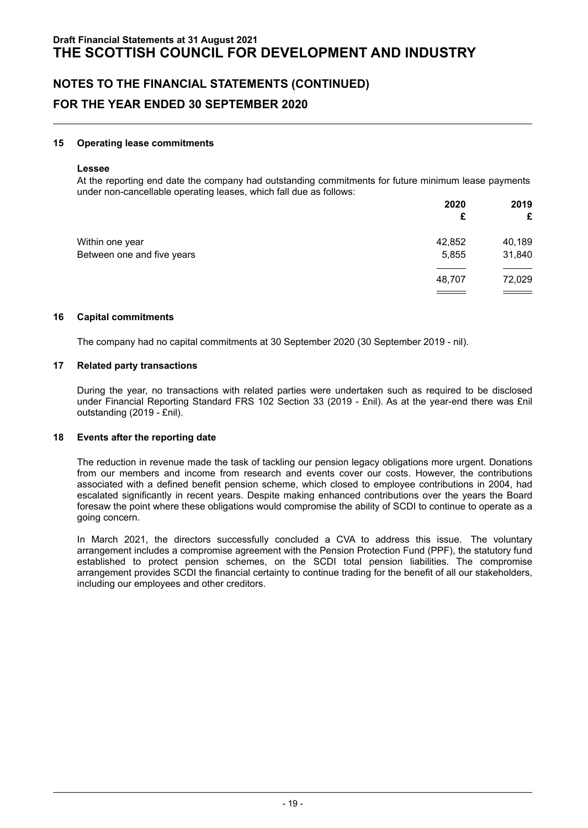#### **15 Operating lease commitments**

#### **Lessee**

At the reporting end date the company had outstanding commitments for future minimum lease payments under non-cancellable operating leases, which fall due as follows:

|                            | 2020   | 2019   |
|----------------------------|--------|--------|
|                            | £      | £      |
| Within one year            | 42,852 | 40,189 |
| Between one and five years | 5,855  | 31,840 |
|                            |        |        |
|                            | 48,707 | 72,029 |
|                            |        |        |

#### **16 Capital commitments**

The company had no capital commitments at 30 September 2020 (30 September 2019 - nil).

#### **17 Related party transactions**

During the year, no transactions with related parties were undertaken such as required to be disclosed under Financial Reporting Standard FRS 102 Section 33 (2019 - £nil). As at the year-end there was £nil outstanding (2019 - £nil).

#### **18 Events after the reporting date**

The reduction in revenue made the task of tackling our pension legacy obligations more urgent. Donations from our members and income from research and events cover our costs. However, the contributions associated with a defined benefit pension scheme, which closed to employee contributions in 2004, had escalated significantly in recent years. Despite making enhanced contributions over the years the Board foresaw the point where these obligations would compromise the ability of SCDI to continue to operate as a going concern.

In March 2021, the directors successfully concluded a CVA to address this issue. The voluntary arrangement includes a compromise agreement with the Pension Protection Fund (PPF), the statutory fund established to protect pension schemes, on the SCDI total pension liabilities. The compromise arrangement provides SCDI the financial certainty to continue trading for the benefit of all our stakeholders, including our employees and other creditors.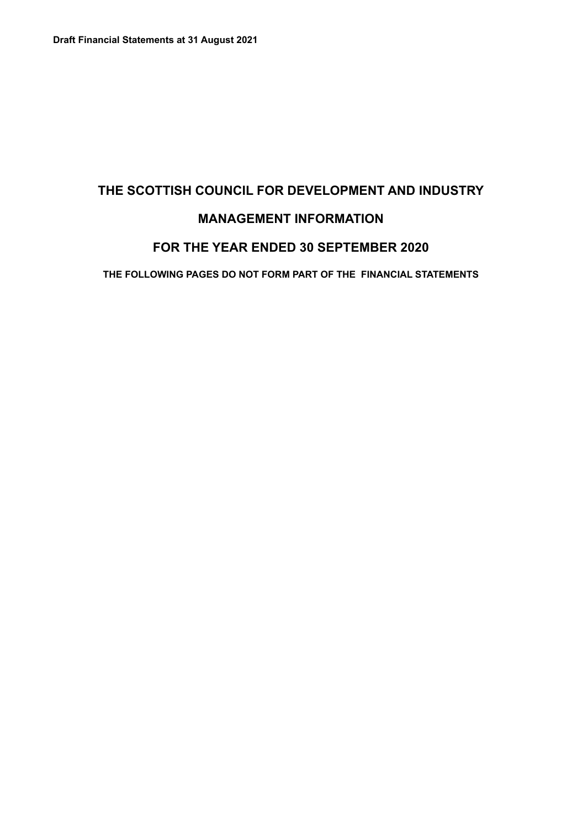# **THE SCOTTISH COUNCIL FOR DEVELOPMENT AND INDUSTRY MANAGEMENT INFORMATION**

### **FOR THE YEAR ENDED 30 SEPTEMBER 2020**

**THE FOLLOWING PAGES DO NOT FORM PART OF THE FINANCIAL STATEMENTS**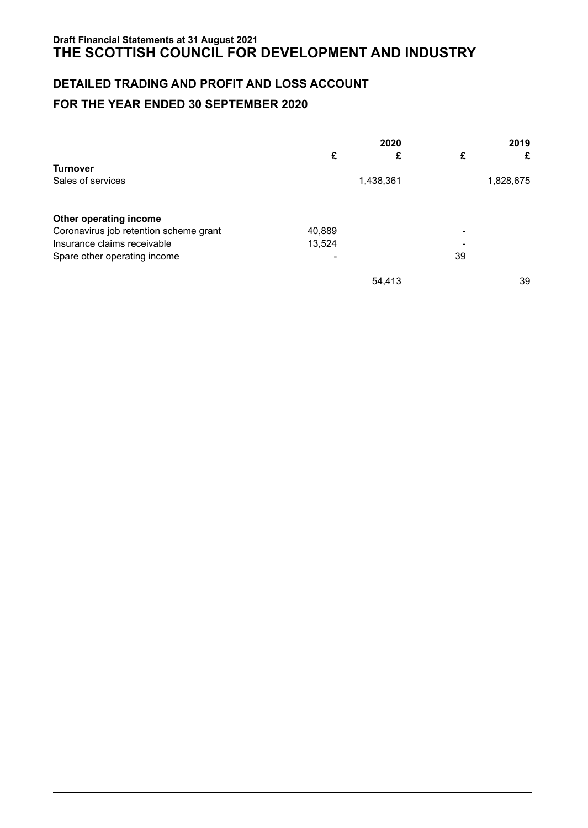# **DETAILED TRADING AND PROFIT AND LOSS ACCOUNT FOR THE YEAR ENDED 30 SEPTEMBER 2020**

|                                        |        | 2020      |    | 2019      |
|----------------------------------------|--------|-----------|----|-----------|
| <b>Turnover</b>                        | £      | £         | £  | £         |
|                                        |        |           |    |           |
| Sales of services                      |        | 1,438,361 |    | 1,828,675 |
| Other operating income                 |        |           |    |           |
| Coronavirus job retention scheme grant | 40,889 |           |    |           |
| Insurance claims receivable            | 13,524 |           |    |           |
| Spare other operating income           |        |           | 39 |           |
|                                        |        | 54,413    |    | 39        |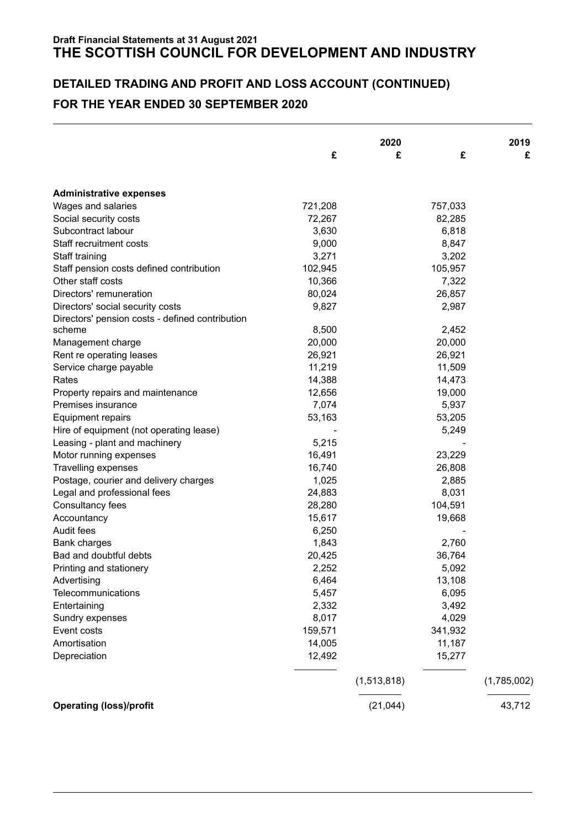# **DETAILED TRADING AND PROFIT AND LOSS ACCOUNT (CONTINUED) FOR THE YEAR ENDED 30 SEPTEMBER 2020**

|                                                 | 2020    |             | 2019    |             |
|-------------------------------------------------|---------|-------------|---------|-------------|
|                                                 | £       | £           | £       | £           |
|                                                 |         |             |         |             |
| <b>Administrative expenses</b>                  |         |             |         |             |
| Wages and salaries                              | 721,208 |             | 757,033 |             |
| Social security costs                           | 72,267  |             | 82,285  |             |
| Subcontract labour                              | 3,630   |             | 6,818   |             |
| Staff recruitment costs                         | 9,000   |             | 8,847   |             |
| Staff training                                  | 3,271   |             | 3,202   |             |
| Staff pension costs defined contribution        | 102,945 |             | 105,957 |             |
| Other staff costs                               | 10,366  |             | 7,322   |             |
| Directors' remuneration                         | 80,024  |             | 26,857  |             |
| Directors' social security costs                | 9,827   |             | 2,987   |             |
| Directors' pension costs - defined contribution |         |             |         |             |
| scheme                                          | 8,500   |             | 2,452   |             |
| Management charge                               | 20,000  |             | 20,000  |             |
| Rent re operating leases                        | 26,921  |             | 26,921  |             |
| Service charge payable                          | 11,219  |             | 11,509  |             |
| Rates                                           | 14,388  |             | 14,473  |             |
| Property repairs and maintenance                | 12,656  |             | 19,000  |             |
| Premises insurance                              | 7,074   |             | 5,937   |             |
| <b>Equipment repairs</b>                        | 53,163  |             | 53,205  |             |
| Hire of equipment (not operating lease)         |         |             | 5,249   |             |
| Leasing - plant and machinery                   | 5,215   |             |         |             |
| Motor running expenses                          | 16,491  |             | 23,229  |             |
| <b>Travelling expenses</b>                      | 16,740  |             | 26,808  |             |
| Postage, courier and delivery charges           | 1,025   |             | 2,885   |             |
| Legal and professional fees                     | 24,883  |             | 8,031   |             |
| Consultancy fees                                | 28,280  |             | 104,591 |             |
| Accountancy                                     | 15,617  |             | 19,668  |             |
| Audit fees                                      | 6,250   |             |         |             |
| <b>Bank charges</b>                             | 1,843   |             | 2,760   |             |
| Bad and doubtful debts                          | 20,425  |             | 36,764  |             |
|                                                 | 2,252   |             | 5,092   |             |
| Printing and stationery<br>Advertising          | 6,464   |             | 13,108  |             |
|                                                 | 5,457   |             | 6,095   |             |
| Telecommunications                              | 2,332   |             | 3,492   |             |
| Entertaining                                    | 8,017   |             |         |             |
| Sundry expenses                                 | 159,571 |             | 4,029   |             |
| Event costs                                     |         |             | 341,932 |             |
| Amortisation                                    | 14,005  |             | 11,187  |             |
| Depreciation                                    | 12,492  |             | 15,277  |             |
|                                                 |         | (1,513,818) |         | (1,785,002) |
| <b>Operating (loss)/profit</b>                  |         | (21, 044)   |         | 43,712      |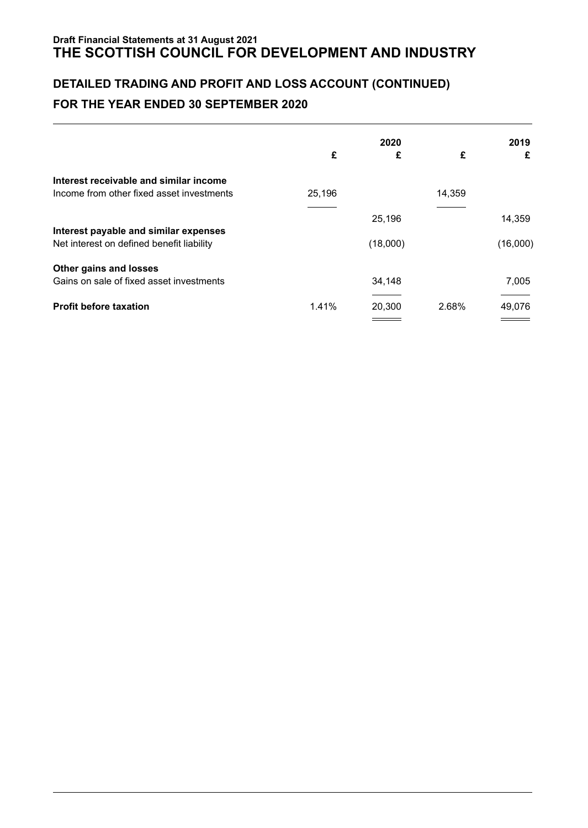# **DETAILED TRADING AND PROFIT AND LOSS ACCOUNT (CONTINUED) FOR THE YEAR ENDED 30 SEPTEMBER 2020**

|                                                                                     |        | 2020     |        | 2019     |
|-------------------------------------------------------------------------------------|--------|----------|--------|----------|
|                                                                                     | £      | £        | £      | £        |
| Interest receivable and similar income<br>Income from other fixed asset investments | 25,196 |          | 14,359 |          |
|                                                                                     |        |          |        |          |
| Interest payable and similar expenses                                               |        | 25,196   |        | 14,359   |
| Net interest on defined benefit liability                                           |        | (18,000) |        | (16,000) |
| Other gains and losses                                                              |        |          |        |          |
| Gains on sale of fixed asset investments                                            |        | 34,148   |        | 7,005    |
| <b>Profit before taxation</b>                                                       | 1.41%  | 20,300   | 2.68%  | 49,076   |
|                                                                                     |        |          |        |          |